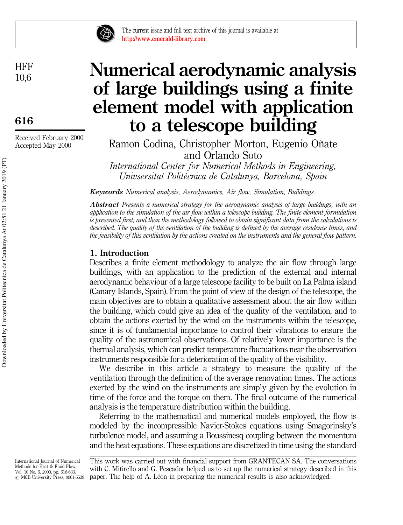

The current issue and full text archive of this journal is available at http://www.emerald-library.com

**HFF** 10,6

616

Received February 2000 Accepted May 2000

# Numerical aerodynamic analysis of large buildings using a finite element model with application to a telescope building

Ramon Codina, Christopher Morton, Eugenio Oñate and Orlando Soto

International Center for Numerical Methods in Engineering, Univsersitat Politècnica de Catalunya, Barcelona, Spain

Keywords Numerical analysis, Aerodynamics, Air flow, Simulation, Buildings

Abstract Presents a numerical strategy for the aerodynamic analysis of large buildings, with an application to the simulation of the air flow within a telescope building. The finite element formulation is presented first, and then the methodology followed to obtain significant data from the calculations is described. The quality of the ventilation of the building is defined by the average residence times, and the feasibility of this ventilation by the actions created on the instruments and the general flow pattern.

## 1. Introduction

Describes a finite element methodology to analyze the air flow through large buildings, with an application to the prediction of the external and internal aerodynamic behaviour of a large telescope facility to be built on La Palma island (Canary Islands, Spain). From the point of view of the design of the telescope, the main objectives are to obtain a qualitative assessment about the air flow within the building, which could give an idea of the quality of the ventilation, and to obtain the actions exerted by the wind on the instruments within the telescope, since it is of fundamental importance to control their vibrations to ensure the quality of the astronomical observations. Of relatively lower importance is the thermal analysis, which can predict temperature fluctuations near the observation instruments responsible for a deterioration of the quality of the visibility.

We describe in this article a strategy to measure the quality of the ventilation through the definition of the average renovation times. The actions exerted by the wind on the instruments are simply given by the evolution in time of the force and the torque on them. The final outcome of the numerical analysis is the temperature distribution within the building.

Referring to the mathematical and numerical models employed, the flow is modeled by the incompressible Navier-Stokes equations using Smagorinsky's turbulence model, and assuming a Boussinesq coupling between the momentum and the heat equations. These equations are discretized in time using the standard

International Journal of Numerical Methods for Heat & Fluid Flow, Vol. 10 No. 6, 2000, pp. 616-633.  $\odot$  MCB University Press, 0961-5539

This work was carried out with financial support from GRANTECAN SA. The conversations with C. Mitirello and G. Pescador helped us to set up the numerical strategy described in this paper. The help of A. Léon in preparing the numerical results is also acknowledged.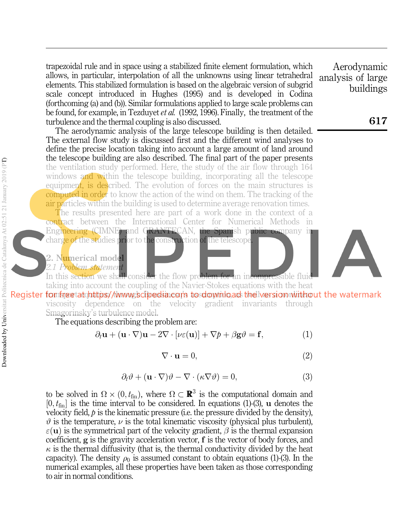trapezoidal rule and in space using a stabilized finite element formulation, which allows, in particular, interpolation of all the unknowns using linear tetrahedral elements. This stabilized formulation is based on the algebraic version of subgrid scale concept introduced in Hughes (1995) and is developed in Codina (forthcoming (a) and (b)). Similar formulations applied to large scale problems can be found, for example, in Tezduyet *et al.* (1992, 1996). Finally, the treatment of the turbulence and the thermal coupling is also discussed.

The aerodynamic analysis of the large telescope building is then detailed. The external flow study is discussed first and the different wind analyses to define the precise location taking into account a large amount of land around the telescope building are also described. The final part of the paper presents the ventilation study performed. Here, the study of the air flow through 164 windows and within the telescope building, incorporating all the telescope equipment, is described. The evolution of forces on the main structures is computed in order to know the action of the wind on them. The tracking of the air particles within the building is used to determine average renovation times.

The results presented here are part of a work done in the context of a contract between the International Center for Numerical Methods in Engineering (CIMNE) and GRANTECAN, the Spanish public company in charge of the studies prior to the construction of the telescope

## 2. N<mark>um</mark>erical model

2.1 Problem statement

In this section we shall consider the flow problem for an incompressible fluid taking into account the coupling of the Navier-Stokes equations with the heat Register forming etat (ntitips//www.acipedia.com/s to download the lversion with the watermark viscosity dependence on the velocity gradient invariants through Smagorinsky's turbulence model.

The equations describing the problem are:

$$
\partial_t \mathbf{u} + (\mathbf{u} \cdot \nabla) \mathbf{u} - 2\nabla \cdot [\nu \varepsilon(\mathbf{u})] + \nabla p + \beta \mathbf{g} \vartheta = \mathbf{f},\tag{1}
$$

$$
\nabla \cdot \mathbf{u} = 0,\tag{2}
$$

$$
\partial_t \vartheta + (\mathbf{u} \cdot \nabla)\vartheta - \nabla \cdot (\kappa \nabla \vartheta) = 0, \tag{3}
$$

to be solved in  $\Omega \times (0, t_{fin})$ , where  $\Omega \subset \mathbb{R}^3$  is the computational domain and  $[0, t_{fin}]$  is the time interval to be considered. In equations (1)-(3), u denotes the velocity field,  $\dot{p}$  is the kinematic pressure (i.e. the pressure divided by the density),  $\vartheta$  is the temperature,  $\nu$  is the total kinematic viscosity (physical plus turbulent),  $\varepsilon(\mathbf{u})$  is the symmetrical part of the velocity gradient,  $\beta$  is the thermal expansion coefficient, g is the gravity acceleration vector,  $f$  is the vector of body forces, and  $\kappa$  is the thermal diffusivity (that is, the thermal conductivity divided by the heat capacity). The density  $\rho_0$  is assumed constant to obtain equations (1)-(3). In the numerical examples, all these properties have been taken as those corresponding to air in normal conditions.

Aerodynamic analysis of large buildings

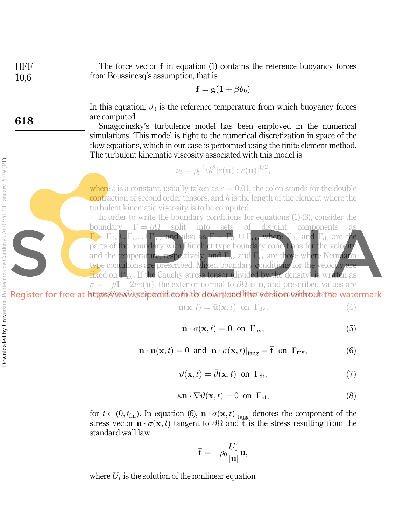**HFF** 10,6 The force vector  $f$  in equation (1) contains the reference buoyancy forces from Boussinesq's assumption, that is

$$
\mathbf{f} = \mathbf{g}(\mathbf{1} + \beta \vartheta_0)
$$

In this equation,  $\vartheta_0$  is the reference temperature from which buoyancy forces are computed.

Smagorinsky's turbulence model has been employed in the numerical simulations. This model is tight to the numerical discretization in space of the flow equations, which in our case is performed using the finite element method. The turbulent kinematic viscosity associated with this model is

$$
\nu_t = \rho_0^{-1} ch^2[\varepsilon(\mathbf{u}) : \varepsilon(\mathbf{u})]^{1/2}
$$

where c is a constant, usually taken as  $c = 0.01$ , the colon stands for the double contraction of second order tensors, and  $h$  is the length of the element where the turbulent kinematic viscosity is to be computed.

In order to write the boundary conditions for equations (1)-(3), consider the boundary  $\Gamma = \partial \Omega$  split into sets of disjoint components  $\Gamma = \overline{\Gamma_{\rm dv} \cup \Gamma_{\rm nv} \cup \Gamma_{\rm mv}}$  and also as  $\Gamma = \overline{\Gamma_{\rm dt} \cup \Gamma_{\rm nt}}$ , where  $\Gamma_{\rm dv}$  and  $\Gamma_{\rm dt}$  are the parts of the boundary with Dirichlet type boundary conditions for the velocity and the temperature, respectively, and  $\Gamma_{\text{hv}}$  and  $\Gamma_{\text{nt}}$  are those where Neumann type conditions are prescribed. Mixed boundary conditions for the velocity are fixed on  $\Gamma_{\text{mv}}$ . If the Cauchy stress tensor (divided by the density) is written as  $\sigma = -pI + 2\nu\varepsilon(\mathbf{u})$ , the exterior normal to  $\partial\Omega$  is n, and prescribed values are

Register for free at https://www.scipedid.com/dodownloaddthenversion.withoutathe watermark

$$
\mathbf{u}(\mathbf{x},t) = \bar{\mathbf{u}}(\mathbf{x},t) \text{ on } \Gamma_{\text{dv}},\tag{4}
$$

;

$$
\mathbf{n} \cdot \sigma(\mathbf{x}, t) = \mathbf{0} \text{ on } \Gamma_{\text{nv}},\tag{5}
$$

$$
\mathbf{n} \cdot \mathbf{u}(\mathbf{x}, t) = 0 \text{ and } \mathbf{n} \cdot \sigma(\mathbf{x}, t)|_{\text{tang}} = \mathbf{\bar{t}} \text{ on } \Gamma_{\text{mv}}, \tag{6}
$$

$$
\vartheta(\mathbf{x},t) = \bar{\vartheta}(\mathbf{x},t) \text{ on } \Gamma_{\mathrm{dt}},\tag{7}
$$

$$
\kappa \mathbf{n} \cdot \nabla \vartheta(\mathbf{x}, t) = 0 \text{ on } \Gamma_{\text{nt}},\tag{8}
$$

for  $t \in (0, t_{fin})$ . In equation (6),  $\mathbf{n} \cdot \sigma(\mathbf{x}, t)|_{\text{tang}}$  denotes the component of the stress vector  $\mathbf{n} \cdot \sigma(\mathbf{x}, t)$  tangent to  $\partial \Omega$  and  $\mathbf{t}$  is the stress resulting from the standard wall law

$$
\bar{\mathbf{t}} = -\rho_0 \frac{U_*^2}{|\mathbf{u}|} \mathbf{u},
$$

where  $U_*$  is the solution of the nonlinear equation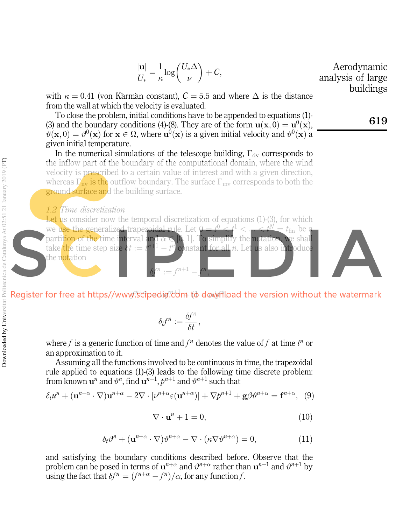$$
\frac{|\mathbf{u}|}{U_*} = \frac{1}{\kappa} \log \left( \frac{U_* \Delta}{\nu} \right) + C,
$$
   
Aerodynamic  
with  $\kappa = 0.41$  (von Karamán constant),  $C = 5.5$  and where  $\Delta$  is the distance  
from the wall at which the velocity is evaluated.  
To close the problem, initial conditions have to be appended to equations (1).  
(3) and the boundary conditions (4)-(8). They are of the form  $\mathbf{u}(\mathbf{x}, 0) = \mathbf{u}^0(\mathbf{x})$ ,  
 $\vartheta(\mathbf{x}, 0) = \vartheta^0(\mathbf{x})$  for  $\mathbf{x} \in \Omega$ , where  $\mathbf{u}^0(\mathbf{x})$  is a given initial velocity and  $\vartheta^0(\mathbf{x})$  a  
given initial temperature.  
In the numerical simulations of the telescope building,  $\Gamma_{\text{dv}}$  corresponds to  
the inflow part of the boundary of the computational domain, where the wind  
velocity is prescribed to a certain value of interest and with a given direction,  
whereas  $\Gamma_{\text{mv}}$  is the outflow boundary. The surface  $\Gamma_{\text{mv}}$  corresponds to both the  
ground surface and the building surface.  
1.2 Time discretization  
Let us consider now the temporal discretization of equations (1)-(3), for which  
we use the generalized trapezoidal rule. Let  $\theta = \frac{\rho}{\kappa} \leq \frac{1}{\kappa}$  for all  $\kappa \in \mathbb{N} = t_{\text{fin}}$  be a  
partition of the time interval and  $\alpha \in [0, 1]$ . To simplify the notation, we shall  
take the time step size  $\delta t := \frac{1}{\kappa} + \frac{1}{1 - t_{\kappa}}$  constant for all *n*. Let us also introduce  
the notation

edia.com to down

$$
\delta_t f^n := \frac{\delta f^n}{\delta t},
$$

where f is a generic function of time and  $f^n$  denotes the value of f at time  $t^n$  or an approximation to it.

Assuming all the functions involved to be continuous in time, the trapezoidal rule applied to equations (1)-(3) leads to the following time discrete problem: from known  $\mathbf{u}^n$  and  $\vartheta^n$ , find  $\mathbf{u}^{n+1}$ ,  $p^{n+1}$  and  $\vartheta^{n+1}$  such that

$$
\delta_t u^n + (\mathbf{u}^{n+\alpha} \cdot \nabla) \mathbf{u}^{n+\alpha} - 2\nabla \cdot [\nu^{n+\alpha} \varepsilon(\mathbf{u}^{n+\alpha})] + \nabla p^{n+1} + \mathbf{g} \beta v^{n+\alpha} = \mathbf{f}^{n+\alpha}, \tag{9}
$$

$$
\nabla \cdot \mathbf{u}^n + 1 = 0,\tag{10}
$$

$$
\delta_t \vartheta^n + (\mathbf{u}^{n+\alpha} \cdot \nabla) \vartheta^{n+\alpha} - \nabla \cdot (\kappa \nabla \vartheta^{n+\alpha}) = 0, \tag{11}
$$

and satisfying the boundary conditions described before. Observe that the problem can be posed in terms of  $\mathbf{u}^{n+\alpha}$  and  $\vartheta^{n+\alpha}$  rather than  $\mathbf{u}^{n+1}$  and  $\vartheta^{n+1}$  by using the fact that  $\delta f^n = (f^{n+\alpha} - f^n)/\alpha$ , for any function f.

Downloaded by Universitat Politecnica de Catalunya At 02:51 21 January 2019 (PT) **Downloaded by Universitat Politecnica de Catalunya At 02:51 21 January 2019 (PT)**  Aerodynamic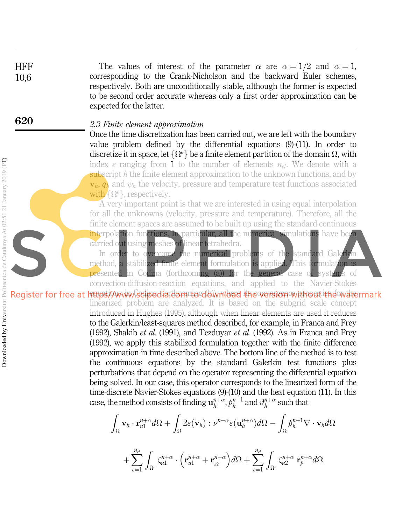The values of interest of the parameter  $\alpha$  are  $\alpha = 1/2$  and  $\alpha = 1$ , corresponding to the Crank-Nicholson and the backward Euler schemes, respectively. Both are unconditionally stable, although the former is expected to be second order accurate whereas only a first order approximation can be expected for the latter.

## 2.3 Finite element approximation

Once the time discretization has been carried out, we are left with the boundary value problem defined by the differential equations (9)-(11). In order to discretize it in space, let  $\{\Omega^e\}$  be a finite element partition of the domain  $\Omega$ , with index e ranging from 1 to the number of elements  $n_{el}$ . We denote with a subscript  $h$  the finite element approximation to the unknown functions, and by  $\mathbf{v}_h$ ,  $q_h$  and  $\psi_h$  the velocity, pressure and temperature test functions associated with  $\{\Omega^e\}$ , respectively.

A very important point is that we are interested in using equal interpolation for all the unknowns (velocity, pressure and temperature). Therefore, all the finite element spaces are assumed to be built up using the standard continuous interpolation functions. In particular, all the numerical simulations have been carried out using meshes of linear tetrahedra.

In order to overcome the numerical problems of the standard Galerkin method, a stabilized finite element formulation is applied. This formulation is presented in Codina (forthcoming (a)) for the general case of systems of convection-diffusion-reaction equations, and applied to the Navier-Stokes

Register for free at https://www.sdipedfartommosdownload the version without the watermark linearized problem are analyzed. It is based on the subgrid scale concept introduced in Hughes (1995), although when linear elements are used it reduces to the Galerkin/least-squares method described, for example, in Franca and Frey (1992), Shakib et al. (1991), and Tezduyar et al. (1992). As in Franca and Frey (1992), we apply this stabilized formulation together with the finite difference approximation in time described above. The bottom line of the method is to test the continuous equations by the standard Galerkin test functions plus perturbations that depend on the operator representing the differential equation being solved. In our case, this operator corresponds to the linearized form of the time-discrete Navier-Stokes equations (9)-(10) and the heat equation (11). In this case, the method consists of finding  $\mathbf{u}_h^{n+\alpha}, p_h^{n+1}$  and  $\vartheta_h^{n+\alpha}$  such that

$$
\begin{aligned} \int_{\Omega} \mathbf{v}_h \cdot \mathbf{r}_{u1}^{n+\alpha} d\Omega + \int_{\Omega} 2\varepsilon(\mathbf{v}_h) : \nu^{n+\alpha} \varepsilon(\mathbf{u}_h^{n+\alpha}) d\Omega - \int_{\Omega} p_h^{n+1} \nabla \cdot \mathbf{v}_h d\Omega \\ + \sum_{e=1}^{n_{el}} \int_{\Omega^e} \zeta_{u1}^{n+\alpha} \cdot \left( \mathbf{r}_{u1}^{n+\alpha} + \mathbf{r}_{u2}^{n+\alpha} \right) d\Omega + \sum_{e=1}^{n_{el}} \int_{\Omega^e} \zeta_{u2}^{n+\alpha} \mathbf{r}_p^{n+\alpha} d\Omega \end{aligned}
$$

**HFF** 10,6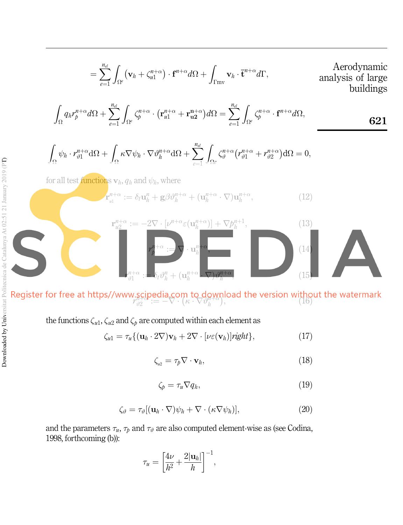$$
= \sum_{e=1}^{n_{el}} \int_{\Omega^e} (\mathbf{v}_h + \zeta_{u1}^{n+\alpha}) \cdot \mathbf{f}^{n+\alpha} d\Omega + \int_{\Gamma m v} \mathbf{v}_h \cdot \overline{\mathbf{t}}^{n+\alpha} d\Gamma, \qquad \text{Aerodynamic analysis of large buildings}
$$

$$
\int_{\Omega} q_h r_p^{n+\alpha} d\Omega + \sum_{e=1}^{n_e} \int_{\Omega^e} \zeta_p^{n+\alpha} \cdot (\mathbf{r}_{u1}^{n+\alpha} + \mathbf{r}_{u2}^{n+\alpha}) d\Omega = \sum_{e=1}^{n_e} \int_{\Omega^e} \zeta_p^{n+\alpha} \cdot \mathbf{f}^{n+\alpha} d\Omega,
$$

$$
\int_{\Omega} \psi_h \cdot r_{\vartheta 1}^{n+\alpha} d\Omega + \int_{\Omega} \kappa \nabla \psi_h \cdot \nabla \vartheta_h^{n+\alpha} d\Omega + \sum_{\ell=1}^{n_d} \int_{\Omega_{\ell}} \zeta_{\vartheta}^{n+\alpha} (r_{\vartheta 1}^{n+\alpha} + r_{\vartheta 2}^{n+\alpha}) d\Omega = 0,
$$

 $:= -2\nabla\cdot [\nu^{n+\alpha}\varepsilon(\mathbf{u}_h^{n+\alpha}% )]$ 

for all test functions  $\mathbf{v}_h$ ,  $q_h$  and  $\psi_h$ , where

 $\mathbf{r}_{u2}^{n+\alpha}$ 

 $r_{\vartheta 1}^{n+\alpha}$ 

$$
\mathbf{r}_{\scriptscriptstyle al}^{n+\alpha} := \delta_t \mathbf{u}_h^n + \mathbf{g} \beta \vartheta_h^{n+\alpha} + (\mathbf{u}_h^{n+\alpha} \cdot \nabla) \mathbf{u}_h^{n+\alpha},\tag{12}
$$

 $)] + \nabla p_h^{n+1}$ 

 $\cdot \nabla$ ) $\vartheta_h^{n+\alpha}$ 

 $\hspace{1.6cm} \hspace{1.6cm} (14)$ 

; 13

 $(15)$ 

 $r_{\vartheta_2}^{\mathbf{S} \mathbf{F}}$  :=  $-\nabla \cdot (\kappa \cdot \nabla \vartheta_h^{\mathbf{F} \mathbf{F}})$ , (16)

: $= \nabla \cdot \mathbf u_h^{n+\alpha}$ 

 $\binom{n}{h} + (\mathbf{u}_h^{n+\alpha})$ 

the functions  $\zeta_{u1}, \zeta_{u2}$  and  $\zeta_p$  are computed within each element as

r  $n+\alpha$ p

 $:= \delta_t \vartheta_h^n$ 

$$
\zeta_{u1} = \tau_u \{ (\mathbf{u}_h \cdot 2\nabla) \mathbf{v}_h + 2\nabla \cdot [\nu \varepsilon(\mathbf{v}_h)] \text{right} \},\tag{17}
$$

$$
\zeta_{u2} = \tau_p \nabla \cdot \mathbf{v}_h, \tag{18}
$$

$$
\zeta_p = \tau_u \nabla q_h,\tag{19}
$$

$$
\zeta_{\vartheta} = \tau_{\vartheta} [(\mathbf{u}_h \cdot \nabla) \psi_h + \nabla \cdot (\kappa \nabla \psi_h)], \qquad (20)
$$

and the parameters  $\tau_u$ ,  $\tau_p$  and  $\tau_\vartheta$  are also computed element-wise as (see Codina, 1998, forthcoming (b)):

$$
\tau_u = \left[\frac{4\nu}{h^2} + \frac{2|\mathbf{u}_h|}{h}\right]^{-1},
$$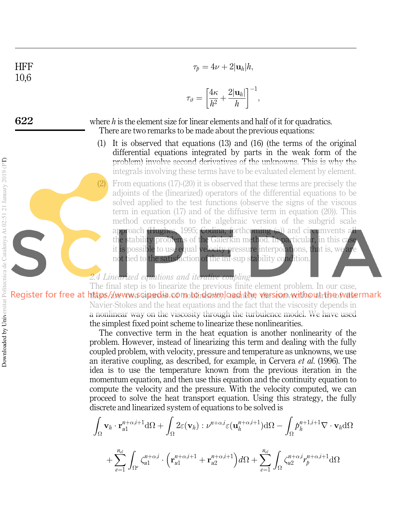$$
^{\rm HFF}_{10,6}
$$

$$
\tau_p=4\nu+2|\mathbf{u}_h|h,
$$

$$
\tau_{\vartheta} = \left[\frac{4\kappa}{h^2} + \frac{2|\mathbf{u}_h|}{h}\right]^{-1},
$$

622

where  $h$  is the element size for linear elements and half of it for quadratics. There are two remarks to be made about the previous equations:

- (1) It is observed that equations (13) and (16) (the terms of the original differential equations integrated by parts in the weak form of the problem) involve second derivatives of the unknowns. This is why the integrals involving these terms have to be evaluated element by element.
- (2) From equations (17)-(20) it is observed that these terms are precisely the adjoints of the (linearized) operators of the differential equations to be solved applied to the test functions (observe the signs of the viscous term in equation (17) and of the diffusive term in equation (20)). This method corresponds to the algebraic version of the subgrid scale approach (Hughes, 1995; Codina, forthcoming (a)) and circumvents all the stability problems of the Galerkin method. In particular, in this case it is possible to use equal velocity pressure interpolations, that is, we are not tied to the satisfaction of the inf-sup stability condition.

## 2.4 Linearized equations and iterative coupling

The final step is to linearize the previous finite element problem. In our case, Register for free at https//www.scipedia.com.to.download.the version without the watermark Navier-Stokes and the heat equations and the fact that the viscosity depends in a nonlinear way on the viscosity through the turbulence model. We have used the simplest fixed point scheme to linearize these nonlinearities.

The convective term in the heat equation is another nonlinearity of the problem. However, instead of linearizing this term and dealing with the fully coupled problem, with velocity, pressure and temperature as unknowns, we use an iterative coupling, as described, for example, in Cervera et al. (1996). The idea is to use the temperature known from the previous iteration in the momentum equation, and then use this equation and the continuity equation to compute the velocity and the pressure. With the velocity computed, we can proceed to solve the heat transport equation. Using this strategy, the fully discrete and linearized system of equations to be solved is

$$
\int_{\Omega} \mathbf{v}_{h} \cdot \mathbf{r}_{u1}^{n+\alpha,i+1} d\Omega + \int_{\Omega} 2\varepsilon(\mathbf{v}_{h}) : \nu^{n+\alpha,i} \varepsilon(\mathbf{u}_{h}^{n+\alpha,i+1}) d\Omega - \int_{\Omega} p_{h}^{n+1,i+1} \nabla \cdot \mathbf{v}_{h} d\Omega
$$

$$
+ \sum_{e=1}^{n_{el}} \int_{\Omega^{e}} \zeta_{u1}^{n+\alpha,i} \cdot \left( \mathbf{r}_{u1}^{n+\alpha,i+1} + \mathbf{r}_{u2}^{n+\alpha,i+1} \right) d\Omega + \sum_{e=1}^{n_{el}} \int_{\Omega} \zeta_{u2}^{n+\alpha,i} r_{p}^{n+\alpha,i+1} d\Omega
$$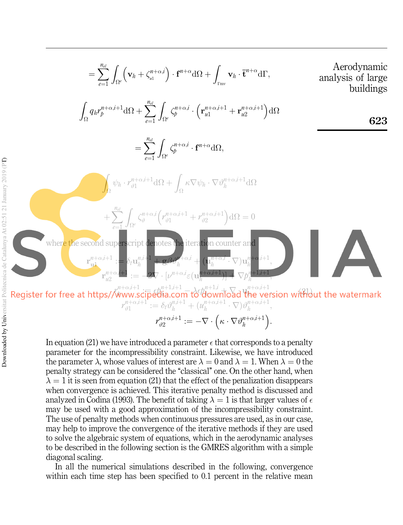$$
= \sum_{e=1}^{n_d} \int_{\Omega^e} (\mathbf{v}_h + \zeta_{\mu}^{n+\alpha,i}) \cdot \mathbf{f}^{n+\alpha} d\Omega + \int_{\text{Tw}} \mathbf{v}_h \cdot \mathbf{t}^{n+\alpha} d\Gamma, \qquad \text{Aerodynamic analysis of large buildings}
$$
\n
$$
\int_{\Omega} q_h r_p^{n+\alpha,i+1} d\Omega + \sum_{e=1}^{n_d} \int_{\Omega^e} \zeta_p^{n+\alpha,i} \cdot (\mathbf{r}_{\mu}^{n+\alpha,i+1} + \mathbf{r}_{\mu}^{n+\alpha,i+1}) d\Omega
$$
\n
$$
= \sum_{e=1}^{n_d} \int_{\Omega^e} \zeta_p^{n+\alpha,i} \cdot \mathbf{f}^{n+\alpha} d\Omega,
$$
\n
$$
\int_{\Omega} \psi_h \cdot r_{\nu,1}^{n+\alpha,i+1} d\Omega + \int_{\Omega} \kappa \nabla \psi_h \cdot \nabla \psi_h^{n+\alpha,i+1} d\Omega
$$
\n
$$
+ \sum_{e=1}^{n_d} \int_{\Omega^e} \zeta_g^{n+\alpha,i} (\zeta_{\nu,1}^{n+\alpha,i+1} + \zeta_{\nu,2}^{n+\alpha,i+1}) d\Omega = 0
$$
\nwhere the second superscript denotes the iteration counter and  
\n
$$
\mathbf{r}_{\mu}^{n+\alpha,i+1} := \delta_{\mu} \mathbf{u}_h^{n+1} + \mathbf{g} \beta \mathbf{v}_h^{n+\alpha,i} + (\mathbf{u}_h^{n+\alpha,i} \cdot \nabla) \mathbf{u}_h^{n+1},
$$
\n
$$
\mathbf{v}_h^{n+\alpha,i+1} := -2 \nabla \cdot [\nu^{n+\alpha,i} c(\mathbf{u}_h^{n+\alpha,i+1}) - \nabla \beta_h^{n+1,i+1}, \nabla \beta_h^{n+1,i+1},
$$
\n
$$
\mathbf{v}_h^{n+\alpha,i+1} := \delta_{\mu} \delta_{\mu}^{n+1,i+1} + (\mathbf{u}_h^{n+\alpha,i+1} \cdot \nabla) \delta_{\mu}^{n+\alpha,i+1},
$$
\n
$$
\mathbf{v}_h^{n+\alpha,i+1} := \delta_{\mu} \delta_{\mu}^{n+1,i+1} + (\mathbf{u}_h^{n+\alpha,i+1
$$

 $\begin{array}{c} \scriptstyle n+\alpha,i+1\ \scriptstyle\partial 2\end{array} := -\nabla\cdot\Big(\kappa\cdot\nabla\vartheta_h^{n+\alpha,i+1}\Big)$ 

 $\left(\kappa\cdot\nabla\vartheta_h^{n+\alpha,i+1}\right).$ 

In equation (21) we have introduced a parameter  $\epsilon$  that corresponds to a penalty parameter for the incompressibility constraint. Likewise, we have introduced the parameter  $\lambda$ , whose values of interest are  $\lambda = 0$  and  $\lambda = 1$ . When  $\lambda = 0$  the penalty strategy can be considered the "classical" one. On the other hand, when  $\lambda = 1$  it is seen from equation (21) that the effect of the penalization disappears when convergence is achieved. This iterative penalty method is discussed and analyzed in Codina (1993). The benefit of taking  $\lambda = 1$  is that larger values of  $\epsilon$ may be used with a good approximation of the incompressibility constraint. The use of penalty methods when continuous pressures are used, as in our case, may help to improve the convergence of the iterative methods if they are used to solve the algebraic system of equations, which in the aerodynamic analyses to be described in the following section is the GMRES algorithm with a simple diagonal scaling.

 $r_{i92}^{n+\alpha,i+1}$ 

In all the numerical simulations described in the following, convergence within each time step has been specified to 0.1 percent in the relative mean

Reg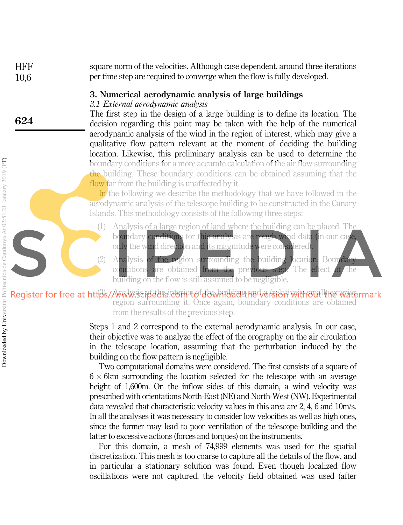**HFF** 10,6 square norm of the velocities. Although case dependent, around three iterations per time step are required to converge when the flow is fully developed.

## 3. Numerical aerodynamic analysis of large buildings

## 3.1 External aerodynamic analysis

The first step in the design of a large building is to define its location. The decision regarding this point may be taken with the help of the numerical aerodynamic analysis of the wind in the region of interest, which may give a qualitative flow pattern relevant at the moment of deciding the building location. Likewise, this preliminary analysis can be used to determine the boundary conditions for a more accurate calculation of the air flow surrounding the building. These boundary conditions can be obtained assuming that the flow far from the building is unaffected by it.

In the following we describe the methodology that we have followed in the aerodynamic analysis of the telescope building to be constructed in the Canary Islands. This methodology consists of the following three steps:

- (1) Analysis of a large region of land where the building can be placed. The boundary conditions for this analysis are rough wind data (in our case,
	- only the wind direction and its magnitude were considered)
- (2) Analysis of the region surrounding the building location. Boundary conditions are obtained from the previous step. The effect of the building on the flow is still assumed to be negligible.

## Register for free at https//www.seipedra.etcrivtofdbwmbdashadversionivelthoutline watermark region surrounding it. Once again, boundary conditions are obtained from the results of the previous step.

Steps 1 and 2 correspond to the external aerodynamic analysis. In our case, their objective was to analyze the effect of the orography on the air circulation in the telescope location, assuming that the perturbation induced by the building on the flow pattern is negligible.

Two computational domains were considered. The first consists of a square of  $6 \times 6$ km surrounding the location selected for the telescope with an average height of 1,600m. On the inflow sides of this domain, a wind velocity was prescribed with orientations North-East (NE) and North-West (NW). Experimental data revealed that characteristic velocity values in this area are 2, 4, 6 and 10m/s. In all the analyses it was necessary to consider low velocities as well as high ones, since the former may lead to poor ventilation of the telescope building and the latter to excessive actions (forces and torques) on the instruments.

For this domain, a mesh of 74,999 elements was used for the spatial discretization. This mesh is too coarse to capture all the details of the flow, and in particular a stationary solution was found. Even though localized flow oscillations were not captured, the velocity field obtained was used (after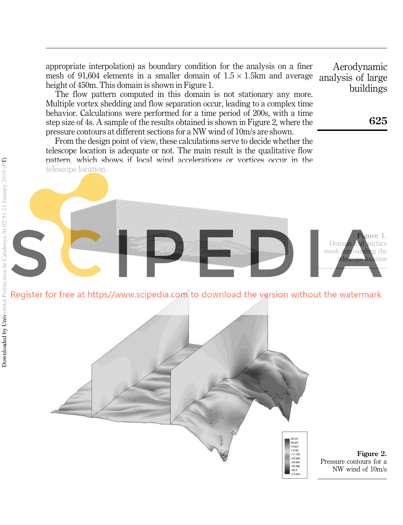appropriate interpolation) as boundary condition for the analysis on a finer mesh of 91,604 elements in a smaller domain of  $1.5 \times 1.5$ km and average height of 450m. This domain is shown in Figure 1.

The flow pattern computed in this domain is not stationary any more. Multiple vortex shedding and flow separation occur, leading to a complex time behavior. Calculations were performed for a time period of 200s, with a time step size of 4s. A sample of the results obtained is shown in Figure 2, where the pressure contours at different sections for a NW wind of 10m/s are shown.

From the design point of view, these calculations serve to decide whether the telescope location is adequate or not. The main result is the qualitative flow pattern, which shows if local wind accelerations or vortices occur in the telescope location.

Aerodynamic analysis of large buildings

625

**Fi**gure 1.

**location** 

Domain and surface mesh surrounding the





Figure 2. Pressure contours for a NW wind of 10m/s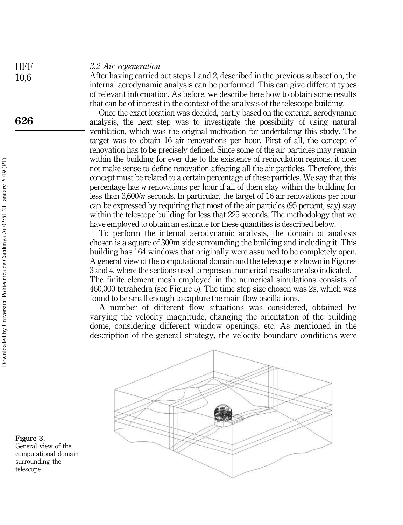### 3.2 Air regeneration

After having carried out steps 1 and 2, described in the previous subsection, the internal aerodynamic analysis can be performed. This can give different types of relevant information. As before, we describe here how to obtain some results that can be of interest in the context of the analysis of the telescope building.

Once the exact location was decided, partly based on the external aerodynamic analysis, the next step was to investigate the possibility of using natural ventilation, which was the original motivation for undertaking this study. The target was to obtain 16 air renovations per hour. First of all, the concept of renovation has to be precisely defined. Since some of the air particles may remain within the building for ever due to the existence of recirculation regions, it does not make sense to define renovation affecting all the air particles. Therefore, this concept must be related to a certain percentage of these particles. We say that this percentage has *n* renovations per hour if all of them stay within the building for less than  $3,600/n$  seconds. In particular, the target of 16 air renovations per hour can be expressed by requiring that most of the air particles (95 percent, say) stay within the telescope building for less that 225 seconds. The methodology that we have employed to obtain an estimate for these quantities is described below.

To perform the internal aerodynamic analysis, the domain of analysis chosen is a square of 300m side surrounding the building and including it. This building has 164 windows that originally were assumed to be completely open. A general view of the computational domain and the telescope is shown in Figures 3 and 4, where the sections used to represent numerical results are also indicated. The finite element mesh employed in the numerical simulations consists of 460,000 tetrahedra (see Figure 5). The time step size chosen was 2s, which was found to be small enough to capture the main flow oscillations.

A number of different flow situations was considered, obtained by varying the velocity magnitude, changing the orientation of the building dome, considering different window openings, etc. As mentioned in the description of the general strategy, the velocity boundary conditions were



Figure 3. General view of the computational domain surrounding the telescope

**HFF** 10,6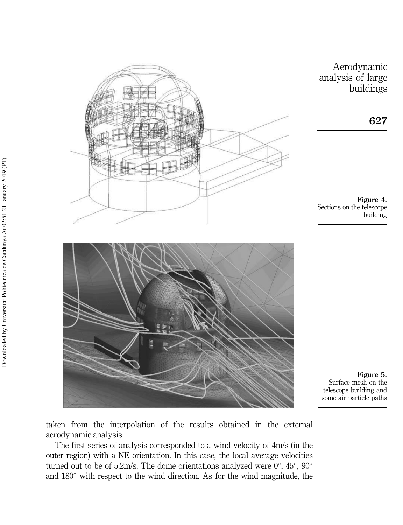

Aerodynamic analysis of large buildings

627

Figure 4. Sections on the telescope building

Figure 5. Surface mesh on the telescope building and some air particle paths

taken from the interpolation of the results obtained in the external aerodynamic analysis.

The first series of analysis corresponded to a wind velocity of 4m/s (in the outer region) with a NE orientation. In this case, the local average velocities turned out to be of 5.2m/s. The dome orientations analyzed were  $0^{\circ}$ ,  $45^{\circ}$ ,  $90^{\circ}$ and  $180^\circ$  with respect to the wind direction. As for the wind magnitude, the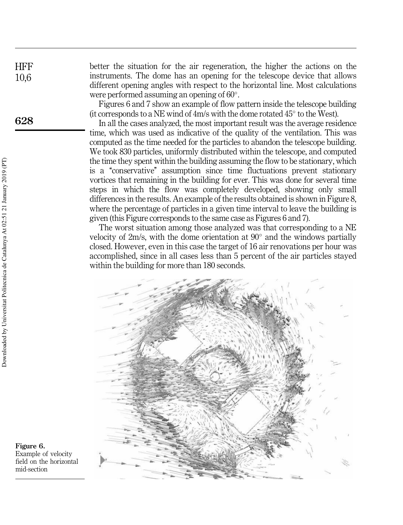better the situation for the air regeneration, the higher the actions on the instruments. The dome has an opening for the telescope device that allows different opening angles with respect to the horizontal line. Most calculations were performed assuming an opening of 60 .

Figures 6 and 7 show an example of flow pattern inside the telescope building (it corresponds to a NE wind of  $4m/s$  with the dome rotated  $45^{\circ}$  to the West).

In all the cases analyzed, the most important result was the average residence time, which was used as indicative of the quality of the ventilation. This was computed as the time needed for the particles to abandon the telescope building. We took 830 particles, uniformly distributed within the telescope, and computed the time they spent within the building assuming the flow to be stationary, which is a "conservative" assumption since time fluctuations prevent stationary vortices that remaining in the building for ever. This was done for several time steps in which the flow was completely developed, showing only small differences in the results. An example of the results obtained is shown in Figure 8, where the percentage of particles in a given time interval to leave the building is given (this Figure corresponds to the same case as Figures 6 and 7).

The worst situation among those analyzed was that corresponding to a NE velocity of 2m/s, with the dome orientation at 90° and the windows partially closed. However, even in this case the target of 16 air renovations per hour was accomplished, since in all cases less than 5 percent of the air particles stayed within the building for more than 180 seconds.



Figure 6. Example of velocity field on the horizontal mid-section

**HFF** 10,6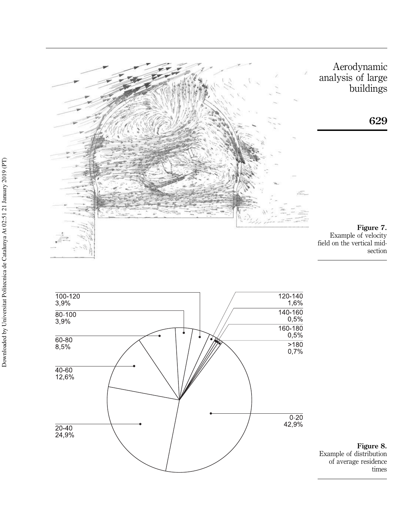

Aerodynamic analysis of large buildings



Figure 7. Example of velocity field on the vertical midsection



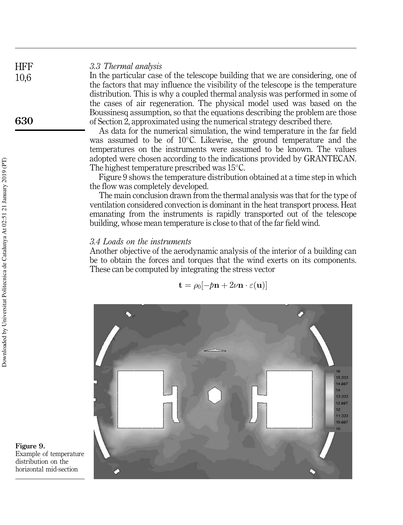## 3.3 Thermal analysis

In the particular case of the telescope building that we are considering, one of the factors that may influence the visibility of the telescope is the temperature distribution. This is why a coupled thermal analysis was performed in some of the cases of air regeneration. The physical model used was based on the Boussinesq assumption, so that the equations describing the problem are those of Section 2, approximated using the numerical strategy described there.

As data for the numerical simulation, the wind temperature in the far field was assumed to be of  $10^{\circ}$ C. Likewise, the ground temperature and the temperatures on the instruments were assumed to be known. The values adopted were chosen according to the indications provided by GRANTECAN. The highest temperature prescribed was  $15^{\circ}$ C.

Figure 9 shows the temperature distribution obtained at a time step in which the flow was completely developed.

The main conclusion drawn from the thermal analysis was that for the type of ventilation considered convection is dominant in the heat transport process. Heat emanating from the instruments is rapidly transported out of the telescope building, whose mean temperature is close to that of the far field wind.

## 3.4 Loads on the instruments

Another objective of the aerodynamic analysis of the interior of a building can be to obtain the forces and torques that the wind exerts on its components. These can be computed by integrating the stress vector

$$
\mathbf{t} = \rho_0[-p\mathbf{n} + 2\nu\mathbf{n} \cdot \varepsilon(\mathbf{u})]
$$



Figure 9. Example of temperature distribution on the horizontal mid-section

**HFF** 10,6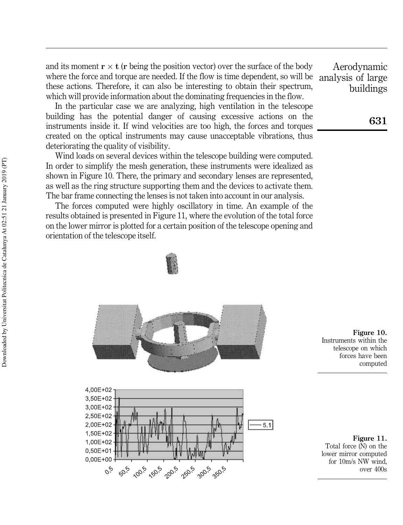and its moment  $\mathbf{r} \times \mathbf{t}$  ( $\mathbf{r}$  being the position vector) over the surface of the body where the force and torque are needed. If the flow is time dependent, so will be these actions. Therefore, it can also be interesting to obtain their spectrum, which will provide information about the dominating frequencies in the flow.

In the particular case we are analyzing, high ventilation in the telescope building has the potential danger of causing excessive actions on the instruments inside it. If wind velocities are too high, the forces and torques created on the optical instruments may cause unacceptable vibrations, thus deteriorating the quality of visibility.

Wind loads on several devices within the telescope building were computed. In order to simplify the mesh generation, these instruments were idealized as shown in Figure 10. There, the primary and secondary lenses are represented, as well as the ring structure supporting them and the devices to activate them. The bar frame connecting the lenses is not taken into account in our analysis.

The forces computed were highly oscillatory in time. An example of the results obtained is presented in Figure 11, where the evolution of the total force on the lower mirror is plotted for a certain position of the telescope opening and orientation of the telescope itself.







Figure 10. Instruments within the telescope on which forces have been computed

Figure 11. Total force (N) on the lower mirror computed for 10m/s NW wind, over 400s

Aerodynamic analysis of large buildings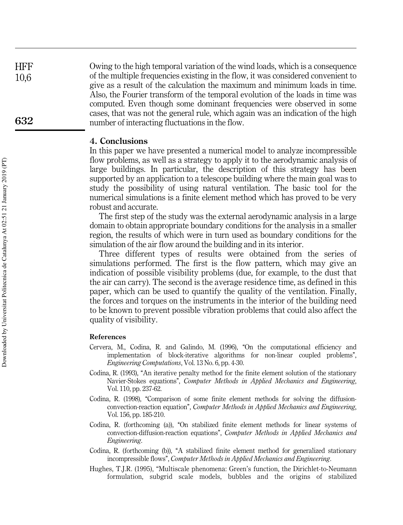**HFF** 10,6 Owing to the high temporal variation of the wind loads, which is a consequence of the multiple frequencies existing in the flow, it was considered convenient to give as a result of the calculation the maximum and minimum loads in time. Also, the Fourier transform of the temporal evolution of the loads in time was computed. Even though some dominant frequencies were observed in some cases, that was not the general rule, which again was an indication of the high number of interacting fluctuations in the flow.

#### 4. Conclusions

In this paper we have presented a numerical model to analyze incompressible flow problems, as well as a strategy to apply it to the aerodynamic analysis of large buildings. In particular, the description of this strategy has been supported by an application to a telescope building where the main goal was to study the possibility of using natural ventilation. The basic tool for the numerical simulations is a finite element method which has proved to be very robust and accurate.

The first step of the study was the external aerodynamic analysis in a large domain to obtain appropriate boundary conditions for the analysis in a smaller region, the results of which were in turn used as boundary conditions for the simulation of the air flow around the building and in its interior.

Three different types of results were obtained from the series of simulations performed. The first is the flow pattern, which may give an indication of possible visibility problems (due, for example, to the dust that the air can carry). The second is the average residence time, as defined in this paper, which can be used to quantify the quality of the ventilation. Finally, the forces and torques on the instruments in the interior of the building need to be known to prevent possible vibration problems that could also affect the quality of visibility.

#### References

- Cervera, M., Codina, R. and Galindo, M. (1996), "On the computational efficiency and implementation of block-iterative algorithms for non-linear coupled problems'', Engineering Computations, Vol. 13 No. 6, pp. 4-30.
- Codina, R. (1993), "An iterative penalty method for the finite element solution of the stationary Navier-Stokes equations'', Computer Methods in Applied Mechanics and Engineering, Vol. 110, pp. 237-62.
- Codina, R.  $(1998)$ , "Comparison of some finite element methods for solving the diffusionconvection-reaction equation'', Computer Methods in Applied Mechanics and Engineering, Vol. 156, pp. 185-210.
- Codina, R. (forthcoming (a)), "On stabilized finite element methods for linear systems of convection-diffusion-reaction equations'', Computer Methods in Applied Mechanics and Engineering.
- Codina, R. (forthcoming (b)), "A stabilized finite element method for generalized stationary incompressible flows'', Computer Methods in Applied Mechanics and Engineering.
- Hughes, T.J.R. (1995), "Multiscale phenomena: Green's function, the Dirichlet-to-Neumann formulation, subgrid scale models, bubbles and the origins of stabilized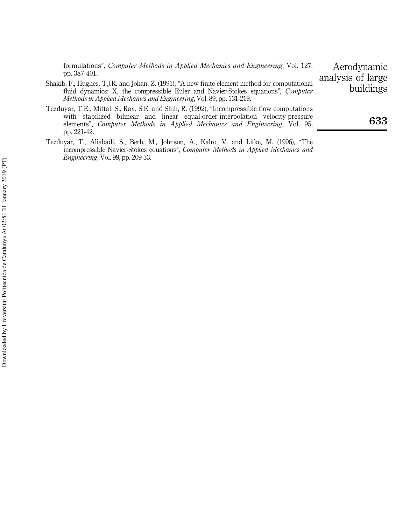formulations'', Computer Methods in Applied Mechanics and Engineering, Vol. 127, pp. 387-401.

- Shakib, F., Hughes, T.J.R. and Johan, Z. (1991), "A new finite element method for computational fluid dynamics: X, the compressible Euler and Navier-Stokes equations", Computer Methods in Applied Mechanics and Engineering, Vol. 89, pp. 131-219.
- Tezduyar, T.E., Mittal, S., Ray, S.E. and Shih, R. (1992), "Incompressible flow computations with stabilized bilinear and linear equal-order-interpolation velocity-pressure elements'', Computer Methods in Applied Mechanics and Engineering, Vol. 95, pp. 221-42.
- Tezduyar, T., Aliabadi, S., Berh, M., Johnson, A., Kalro, V. and Litke, M. (1996), "The incompressible Navier-Stokes equations", Computer Methods in Applied Mechanics and Engineering, Vol. 99, pp. 209-33.

Aerodynamic analysis of large buildings